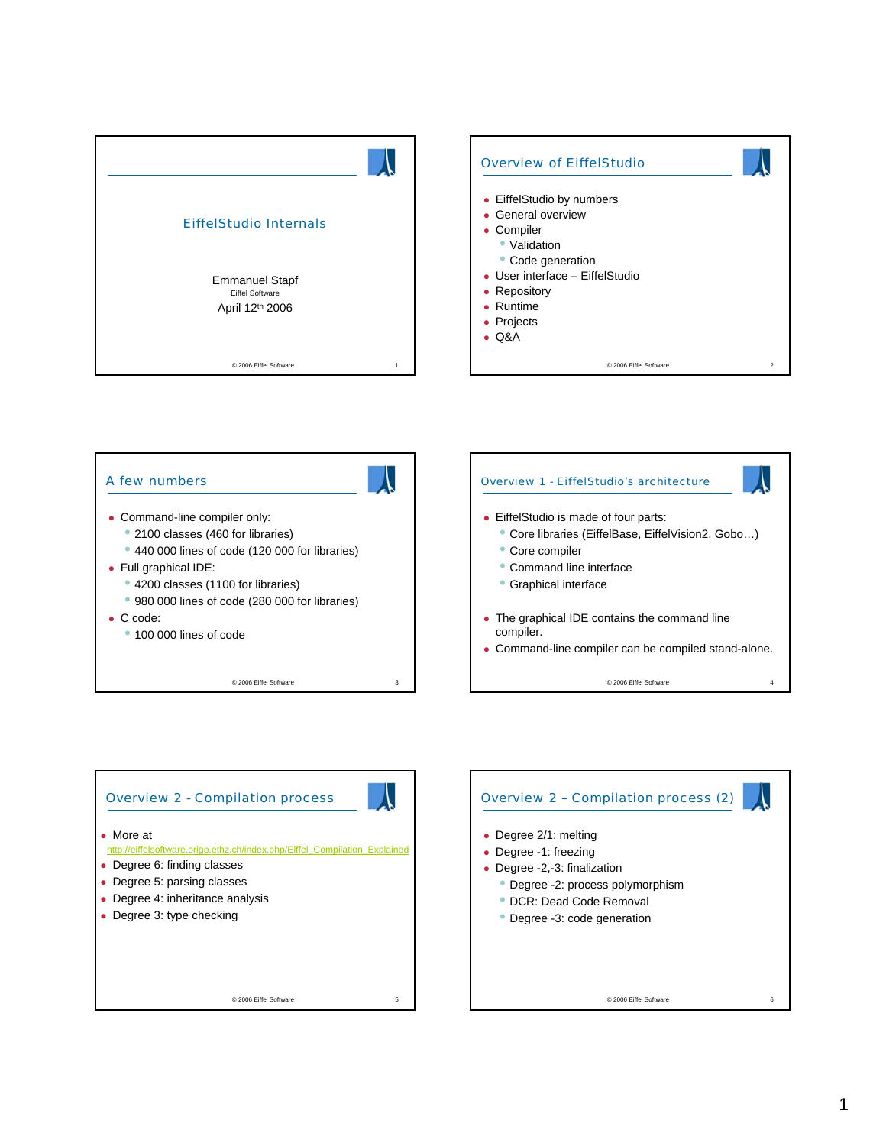





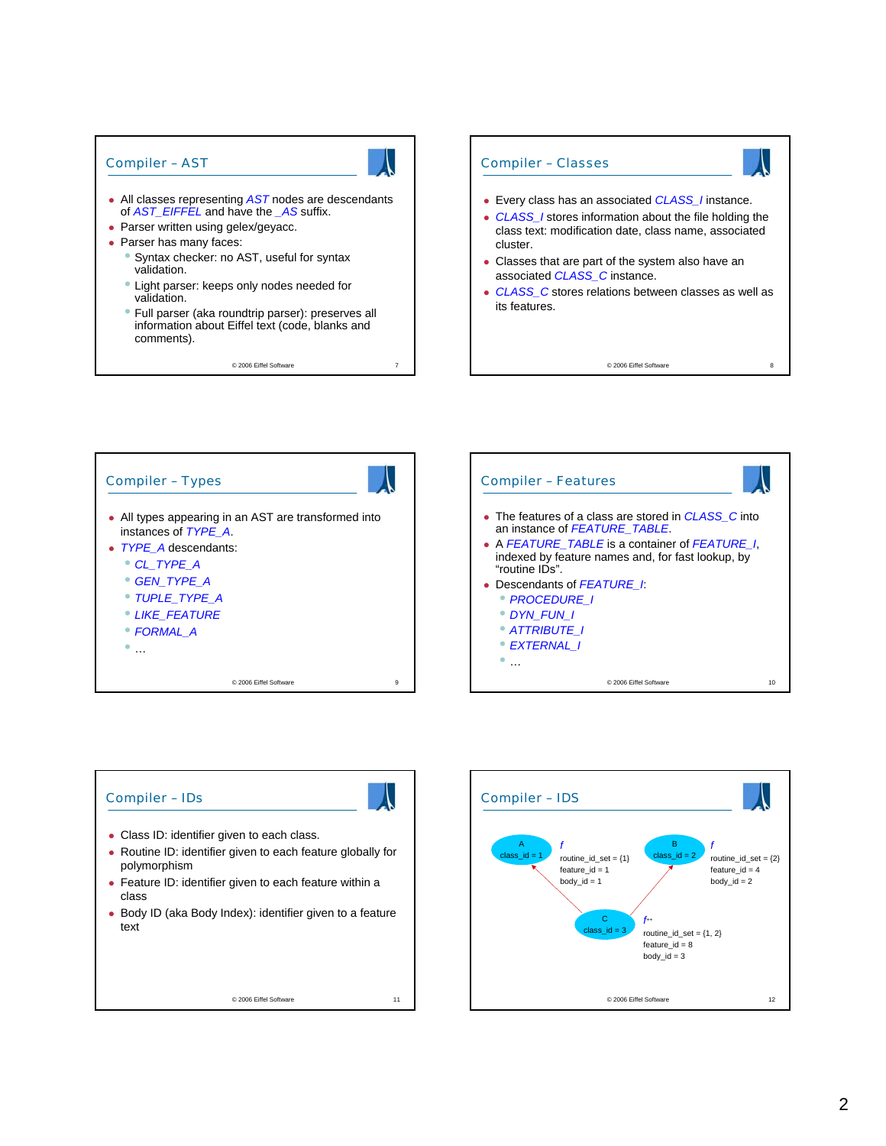## Compiler – AST

- All classes representing **AST** nodes are descendants of *AST\_EIFFEL* and have the *\_AS* suffix.
- Parser written using gelex/geyacc.
- Parser has many faces:
	- Syntax checker: no AST, useful for syntax validation.
	- Light parser: keeps only nodes needed for validation.
	- Full parser (aka roundtrip parser): preserves all information about Eiffel text (code, blanks and comments).

© 2006 Eiffel Software 7







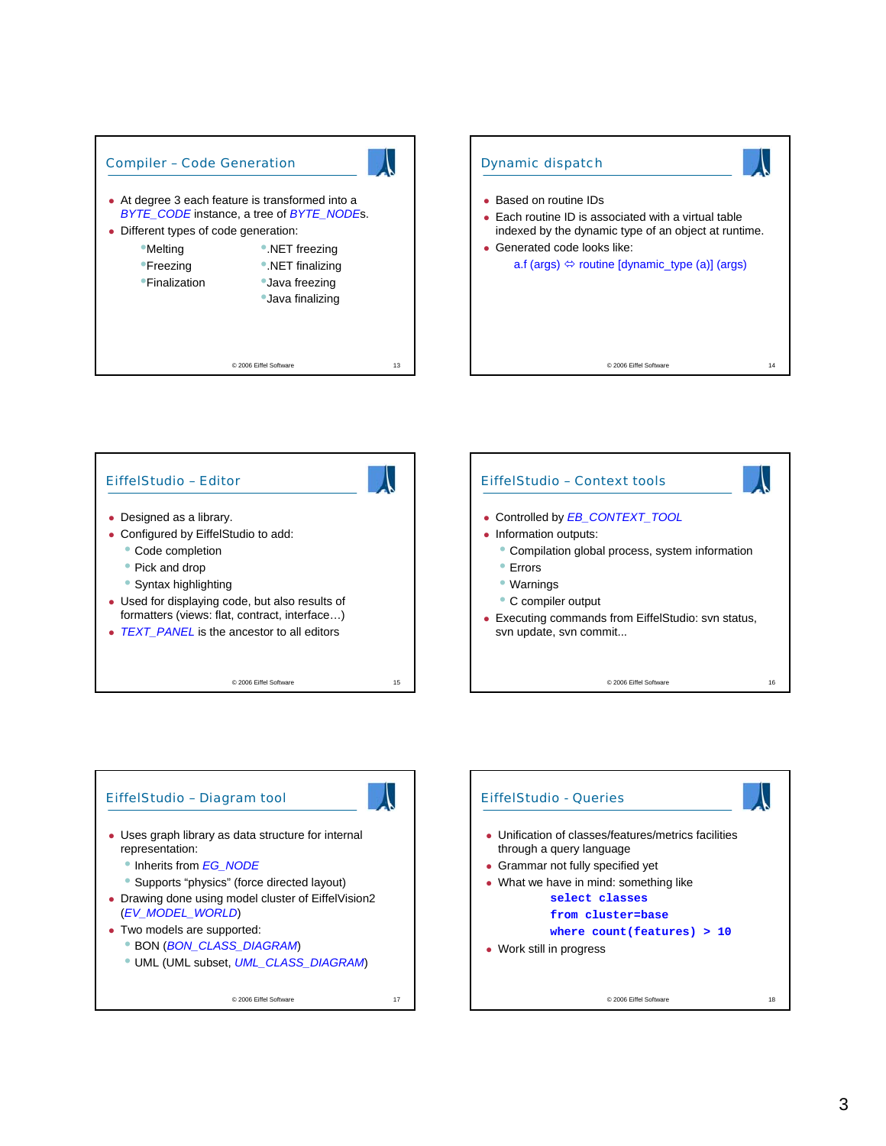





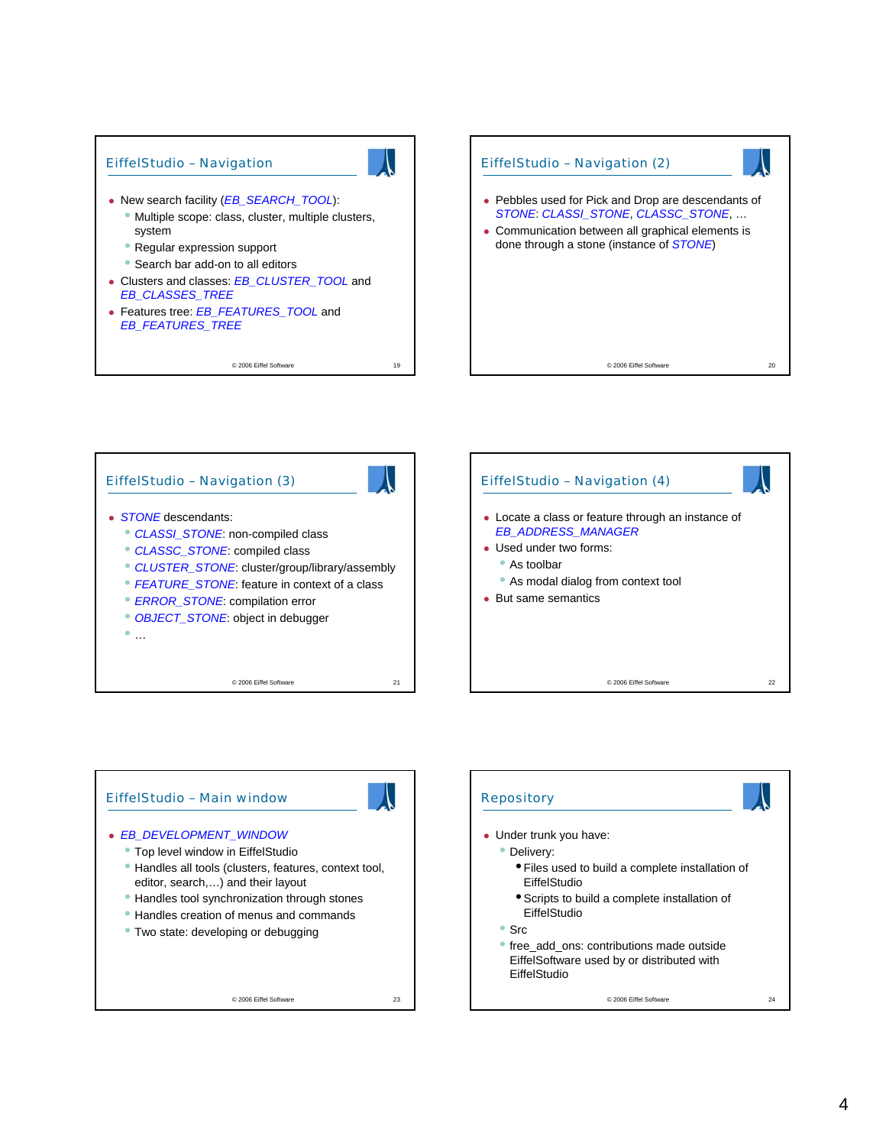

© 2006 Eiffel Software 19









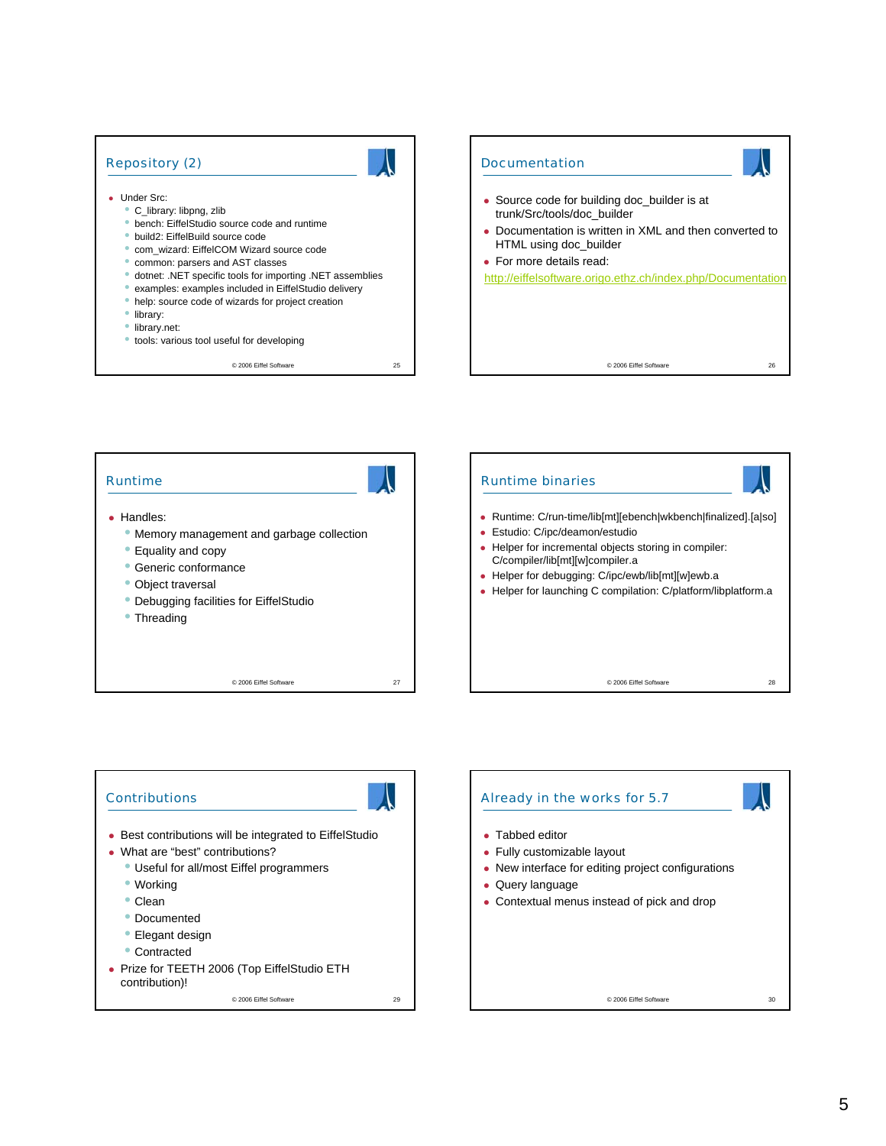## Repository (2)

## • Under Src:

- C\_library: libpng, zlib
- bench: EiffelStudio source code and runtime
- build2: EiffelBuild source code
- com\_wizard: EiffelCOM Wizard source code
- common: parsers and AST classes
- dotnet: .NET specific tools for importing .NET assemblies
- examples: examples included in EiffelStudio delivery
- help: source code of wizards for project creation
- library:
- library.net:
- tools: various tool useful for developing

© 2006 Eiffel Software 25





## **Contributions**



- Best contributions will be integrated to EiffelStudio
- What are "best" contributions?
- Useful for all/most Eiffel programmers
	- Working
	- Clean
	- Documented
	- Elegant design
	- Contracted
- Prize for TEETH 2006 (Top EiffelStudio ETH contribution)!

© 2006 Eiffel Software 29